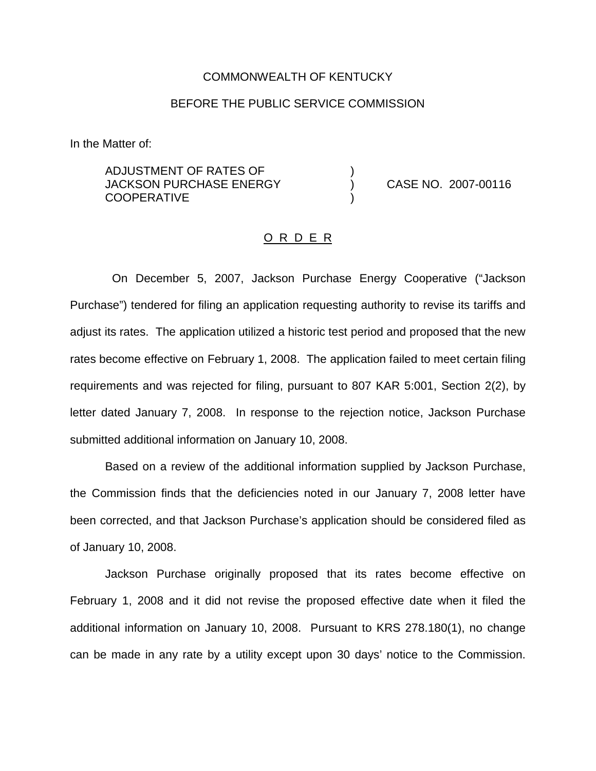### COMMONWEALTH OF KENTUCKY

### BEFORE THE PUBLIC SERVICE COMMISSION

In the Matter of:

ADJUSTMENT OF RATES OF ) JACKSON PURCHASE ENERGY ) CASE NO. 2007-00116 **COOPERATIVE** 

#### O R D E R

On December 5, 2007, Jackson Purchase Energy Cooperative ("Jackson Purchase") tendered for filing an application requesting authority to revise its tariffs and adjust its rates. The application utilized a historic test period and proposed that the new rates become effective on February 1, 2008. The application failed to meet certain filing requirements and was rejected for filing, pursuant to 807 KAR 5:001, Section 2(2), by letter dated January 7, 2008. In response to the rejection notice, Jackson Purchase submitted additional information on January 10, 2008.

Based on a review of the additional information supplied by Jackson Purchase, the Commission finds that the deficiencies noted in our January 7, 2008 letter have been corrected, and that Jackson Purchase's application should be considered filed as of January 10, 2008.

Jackson Purchase originally proposed that its rates become effective on February 1, 2008 and it did not revise the proposed effective date when it filed the additional information on January 10, 2008. Pursuant to KRS 278.180(1), no change can be made in any rate by a utility except upon 30 days' notice to the Commission.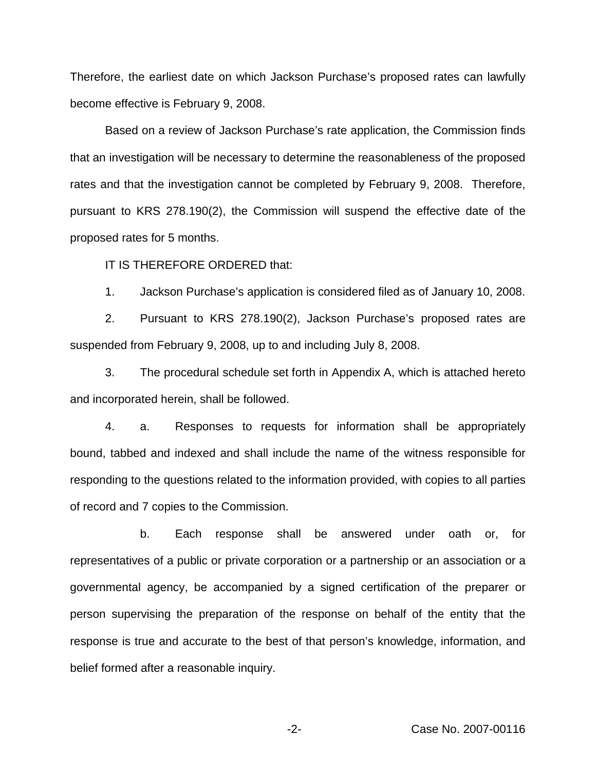Therefore, the earliest date on which Jackson Purchase's proposed rates can lawfully become effective is February 9, 2008.

Based on a review of Jackson Purchase's rate application, the Commission finds that an investigation will be necessary to determine the reasonableness of the proposed rates and that the investigation cannot be completed by February 9, 2008. Therefore, pursuant to KRS 278.190(2), the Commission will suspend the effective date of the proposed rates for 5 months.

IT IS THEREFORE ORDERED that:

1. Jackson Purchase's application is considered filed as of January 10, 2008.

2. Pursuant to KRS 278.190(2), Jackson Purchase's proposed rates are suspended from February 9, 2008, up to and including July 8, 2008.

3. The procedural schedule set forth in Appendix A, which is attached hereto and incorporated herein, shall be followed.

4. a. Responses to requests for information shall be appropriately bound, tabbed and indexed and shall include the name of the witness responsible for responding to the questions related to the information provided, with copies to all parties of record and 7 copies to the Commission.

b. Each response shall be answered under oath or, for representatives of a public or private corporation or a partnership or an association or a governmental agency, be accompanied by a signed certification of the preparer or person supervising the preparation of the response on behalf of the entity that the response is true and accurate to the best of that person's knowledge, information, and belief formed after a reasonable inquiry.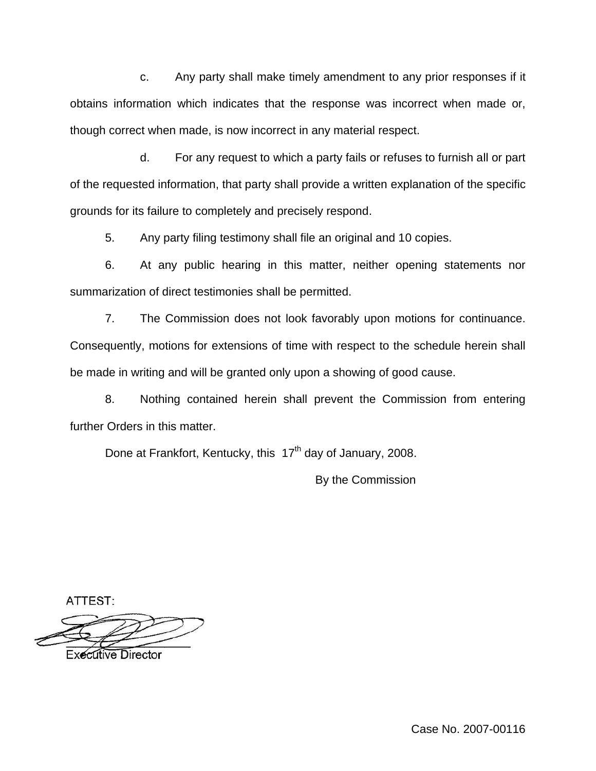c. Any party shall make timely amendment to any prior responses if it obtains information which indicates that the response was incorrect when made or, though correct when made, is now incorrect in any material respect.

d. For any request to which a party fails or refuses to furnish all or part of the requested information, that party shall provide a written explanation of the specific grounds for its failure to completely and precisely respond.

5. Any party filing testimony shall file an original and 10 copies.

6. At any public hearing in this matter, neither opening statements nor summarization of direct testimonies shall be permitted.

7. The Commission does not look favorably upon motions for continuance. Consequently, motions for extensions of time with respect to the schedule herein shall be made in writing and will be granted only upon a showing of good cause.

8. Nothing contained herein shall prevent the Commission from entering further Orders in this matter.

Done at Frankfort, Kentucky, this  $17<sup>th</sup>$  day of January, 2008.

By the Commission

ATTEST:

Executive Director

Case No. 2007-00116